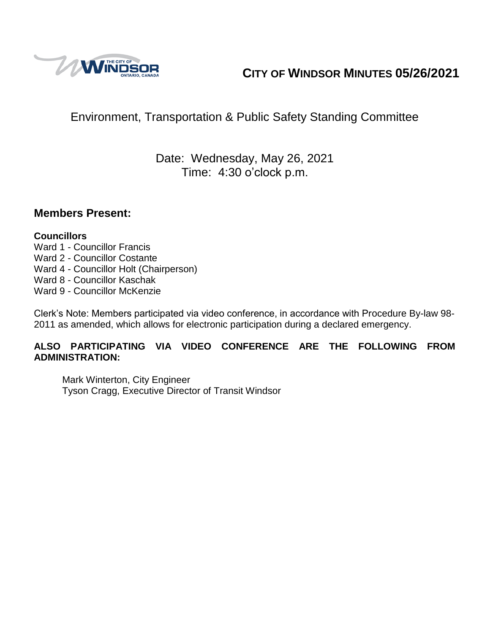

# **CITY OF WINDSOR MINUTES 05/26/2021**

# Environment, Transportation & Public Safety Standing Committee

# Date: Wednesday, May 26, 2021 Time: 4:30 o'clock p.m.

#### **Members Present:**

#### **Councillors**

- Ward 1 Councillor Francis
- Ward 2 Councillor Costante
- Ward 4 Councillor Holt (Chairperson)
- Ward 8 Councillor Kaschak
- Ward 9 Councillor McKenzie

Clerk's Note: Members participated via video conference, in accordance with Procedure By-law 98- 2011 as amended, which allows for electronic participation during a declared emergency.

#### **ALSO PARTICIPATING VIA VIDEO CONFERENCE ARE THE FOLLOWING FROM ADMINISTRATION:**

Mark Winterton, City Engineer Tyson Cragg, Executive Director of Transit Windsor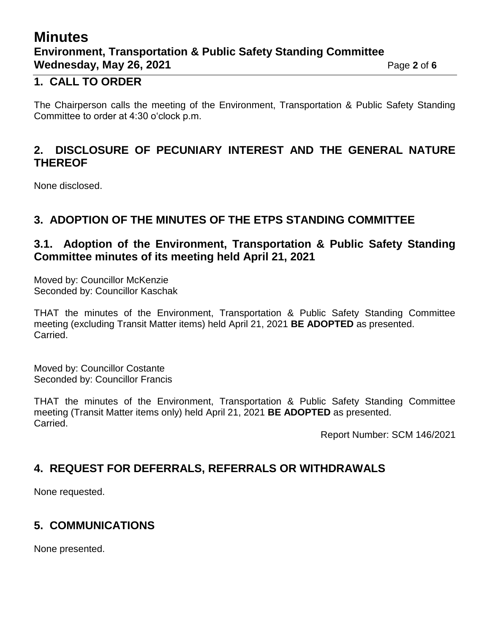# **Minutes Environment, Transportation & Public Safety Standing Committee Wednesday, May 26, 2021 Page 2** of 6

#### **1. CALL TO ORDER**

The Chairperson calls the meeting of the Environment, Transportation & Public Safety Standing Committee to order at 4:30 o'clock p.m.

### **2. DISCLOSURE OF PECUNIARY INTEREST AND THE GENERAL NATURE THEREOF**

None disclosed.

### **3. ADOPTION OF THE MINUTES OF THE ETPS STANDING COMMITTEE**

#### **3.1. Adoption of the Environment, Transportation & Public Safety Standing Committee minutes of its meeting held April 21, 2021**

Moved by: Councillor McKenzie Seconded by: Councillor Kaschak

THAT the minutes of the Environment, Transportation & Public Safety Standing Committee meeting (excluding Transit Matter items) held April 21, 2021 **BE ADOPTED** as presented. Carried.

Moved by: Councillor Costante Seconded by: Councillor Francis

THAT the minutes of the Environment, Transportation & Public Safety Standing Committee meeting (Transit Matter items only) held April 21, 2021 **BE ADOPTED** as presented. Carried.

Report Number: SCM 146/2021

# **4. REQUEST FOR DEFERRALS, REFERRALS OR WITHDRAWALS**

None requested.

# **5. COMMUNICATIONS**

None presented.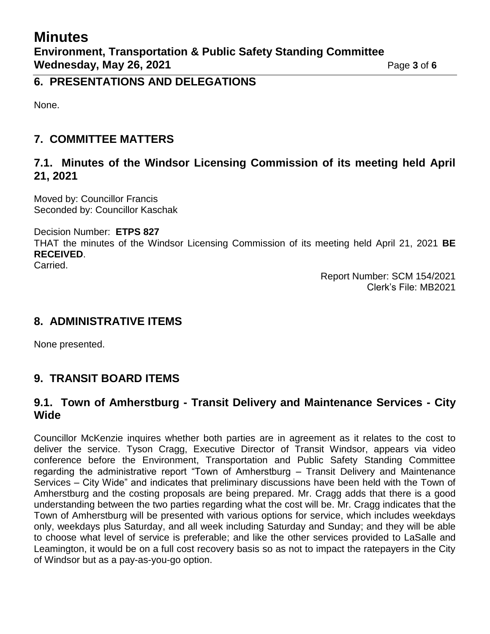#### **6. PRESENTATIONS AND DELEGATIONS**

None.

# **7. COMMITTEE MATTERS**

#### **7.1. Minutes of the Windsor Licensing Commission of its meeting held April 21, 2021**

Moved by: Councillor Francis Seconded by: Councillor Kaschak

Decision Number: **ETPS 827**

THAT the minutes of the Windsor Licensing Commission of its meeting held April 21, 2021 **BE RECEIVED**.

Carried.

Report Number: SCM 154/2021 Clerk's File: MB2021

# **8. ADMINISTRATIVE ITEMS**

None presented.

# **9. TRANSIT BOARD ITEMS**

#### **9.1. Town of Amherstburg - Transit Delivery and Maintenance Services - City Wide**

Councillor McKenzie inquires whether both parties are in agreement as it relates to the cost to deliver the service. Tyson Cragg, Executive Director of Transit Windsor, appears via video conference before the Environment, Transportation and Public Safety Standing Committee regarding the administrative report "Town of Amherstburg – Transit Delivery and Maintenance Services – City Wide" and indicates that preliminary discussions have been held with the Town of Amherstburg and the costing proposals are being prepared. Mr. Cragg adds that there is a good understanding between the two parties regarding what the cost will be. Mr. Cragg indicates that the Town of Amherstburg will be presented with various options for service, which includes weekdays only, weekdays plus Saturday, and all week including Saturday and Sunday; and they will be able to choose what level of service is preferable; and like the other services provided to LaSalle and Leamington, it would be on a full cost recovery basis so as not to impact the ratepayers in the City of Windsor but as a pay-as-you-go option.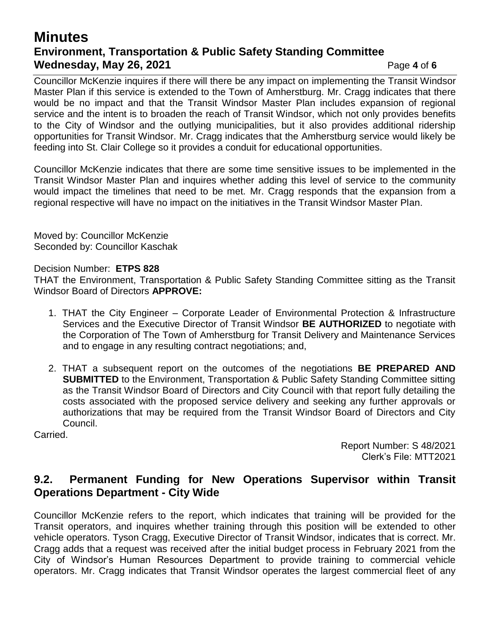# **Minutes Environment, Transportation & Public Safety Standing Committee Wednesday, May 26, 2021 Page 4** of 6

Councillor McKenzie inquires if there will there be any impact on implementing the Transit Windsor Master Plan if this service is extended to the Town of Amherstburg. Mr. Cragg indicates that there would be no impact and that the Transit Windsor Master Plan includes expansion of regional service and the intent is to broaden the reach of Transit Windsor, which not only provides benefits to the City of Windsor and the outlying municipalities, but it also provides additional ridership opportunities for Transit Windsor. Mr. Cragg indicates that the Amherstburg service would likely be feeding into St. Clair College so it provides a conduit for educational opportunities.

Councillor McKenzie indicates that there are some time sensitive issues to be implemented in the Transit Windsor Master Plan and inquires whether adding this level of service to the community would impact the timelines that need to be met. Mr. Cragg responds that the expansion from a regional respective will have no impact on the initiatives in the Transit Windsor Master Plan.

Moved by: Councillor McKenzie Seconded by: Councillor Kaschak

#### Decision Number: **ETPS 828**

THAT the Environment, Transportation & Public Safety Standing Committee sitting as the Transit Windsor Board of Directors **APPROVE:**

- 1. THAT the City Engineer Corporate Leader of Environmental Protection & Infrastructure Services and the Executive Director of Transit Windsor **BE AUTHORIZED** to negotiate with the Corporation of The Town of Amherstburg for Transit Delivery and Maintenance Services and to engage in any resulting contract negotiations; and,
- 2. THAT a subsequent report on the outcomes of the negotiations **BE PREPARED AND SUBMITTED** to the Environment, Transportation & Public Safety Standing Committee sitting as the Transit Windsor Board of Directors and City Council with that report fully detailing the costs associated with the proposed service delivery and seeking any further approvals or authorizations that may be required from the Transit Windsor Board of Directors and City Council.

Carried.

Report Number: S 48/2021 Clerk's File: MTT2021

#### **9.2. Permanent Funding for New Operations Supervisor within Transit Operations Department - City Wide**

Councillor McKenzie refers to the report, which indicates that training will be provided for the Transit operators, and inquires whether training through this position will be extended to other vehicle operators. Tyson Cragg, Executive Director of Transit Windsor, indicates that is correct. Mr. Cragg adds that a request was received after the initial budget process in February 2021 from the City of Windsor's Human Resources Department to provide training to commercial vehicle operators. Mr. Cragg indicates that Transit Windsor operates the largest commercial fleet of any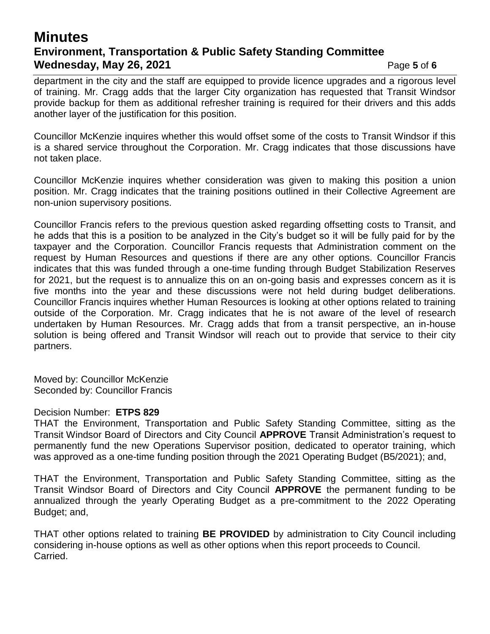## **Minutes Environment, Transportation & Public Safety Standing Committee Wednesday, May 26, 2021 Page 5** of 6

department in the city and the staff are equipped to provide licence upgrades and a rigorous level of training. Mr. Cragg adds that the larger City organization has requested that Transit Windsor provide backup for them as additional refresher training is required for their drivers and this adds another layer of the justification for this position.

Councillor McKenzie inquires whether this would offset some of the costs to Transit Windsor if this is a shared service throughout the Corporation. Mr. Cragg indicates that those discussions have not taken place.

Councillor McKenzie inquires whether consideration was given to making this position a union position. Mr. Cragg indicates that the training positions outlined in their Collective Agreement are non-union supervisory positions.

Councillor Francis refers to the previous question asked regarding offsetting costs to Transit, and he adds that this is a position to be analyzed in the City's budget so it will be fully paid for by the taxpayer and the Corporation. Councillor Francis requests that Administration comment on the request by Human Resources and questions if there are any other options. Councillor Francis indicates that this was funded through a one-time funding through Budget Stabilization Reserves for 2021, but the request is to annualize this on an on-going basis and expresses concern as it is five months into the year and these discussions were not held during budget deliberations. Councillor Francis inquires whether Human Resources is looking at other options related to training outside of the Corporation. Mr. Cragg indicates that he is not aware of the level of research undertaken by Human Resources. Mr. Cragg adds that from a transit perspective, an in-house solution is being offered and Transit Windsor will reach out to provide that service to their city partners.

Moved by: Councillor McKenzie Seconded by: Councillor Francis

#### Decision Number: **ETPS 829**

THAT the Environment, Transportation and Public Safety Standing Committee, sitting as the Transit Windsor Board of Directors and City Council **APPROVE** Transit Administration's request to permanently fund the new Operations Supervisor position, dedicated to operator training, which was approved as a one-time funding position through the 2021 Operating Budget (B5/2021); and,

THAT the Environment, Transportation and Public Safety Standing Committee, sitting as the Transit Windsor Board of Directors and City Council **APPROVE** the permanent funding to be annualized through the yearly Operating Budget as a pre-commitment to the 2022 Operating Budget; and,

THAT other options related to training **BE PROVIDED** by administration to City Council including considering in-house options as well as other options when this report proceeds to Council. Carried.